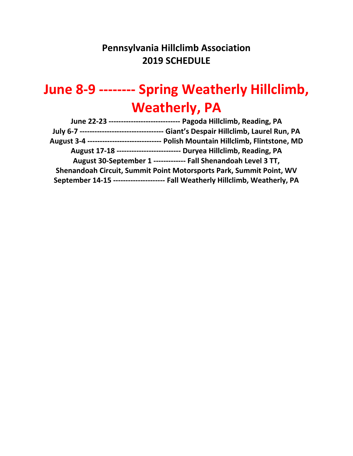## **Pennsylvania Hillclimb Association 2019 SCHEDULE**

# **June 8-9 -------- Spring Weatherly Hillclimb, Weatherly, PA**

| June 22-23 ------------------------------ Pagoda Hillclimb, Reading, PA             |
|-------------------------------------------------------------------------------------|
| Giant's Despair Hillclimb, Laurel Run, PA                                           |
| August 3-4 ------------------------------ Polish Mountain Hillclimb, Flintstone, MD |
| August 17-18 -------------------------- Duryea Hillclimb, Reading, PA               |
| August 30-September 1 ------------- Fall Shenandoah Level 3 TT,                     |
| Shenandoah Circuit, Summit Point Motorsports Park, Summit Point, WV                 |
| September 14-15 --------------------- Fall Weatherly Hillclimb, Weatherly, PA       |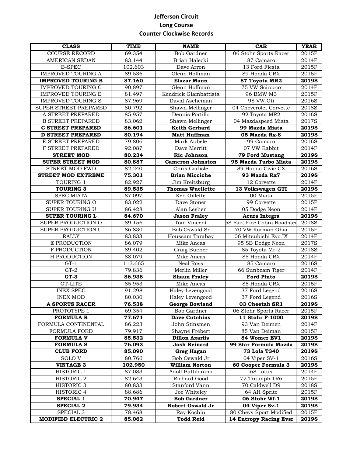### **Jefferson Circuit Long Course Counter Clockwise Records**

| <b>CLASS</b>               | <b>TIME</b> | <b>NAME</b>             | <b>CAR</b>                         | <b>YEAR</b>  |
|----------------------------|-------------|-------------------------|------------------------------------|--------------|
| <b>COURSE RECORD</b>       | 69.354      | <b>Bob Gardner</b>      | 06 Stohr Sports Racer              | 2015F        |
| <b>AMERICAN SEDAN</b>      | 83.144      | Brian Halecki           | 87 Camaro                          | 2014F        |
| <b>B-SPEC</b>              | 102.603     | Dave Arron              | 13 Ford Fiesta                     | 2015F        |
| <b>IMPROVED TOURING A</b>  | 89.536      | Glenn Hoffman           | 89 Honda CRX                       | 2015F        |
| <b>IMPROVED TOURING B</b>  | 87.160      | Elazar Mann             | 87 Toyota MR2                      | <b>2019S</b> |
| <b>IMPROVED TOURING C</b>  | 90.897      | Glenn Hoffman           | 75 VW Scirocco                     | 2014F        |
| <b>IMPROVED TOURING E</b>  | 81.497      | Kendrick Giambattista   | 96 BMW M3                          | 2015F        |
| <b>IMPROVED TOURING S</b>  | 87.969      | David Ascheman          | 98 VW Gti                          | 2016S        |
| SUPER STREET PREPARED      | 80.792      | Shawn Mellinger         | 04 Cheverolet Corvette             | 2018S        |
| A STREET PREPARED          | 85.957      | Dennis Portillo         | 92 Toyota MR2                      | 2016S        |
| <b>B STREET PREPARED</b>   | 83.062      | Shawn Mellinger         | 04 Mazdaspeed Miata                | 2017S        |
| <b>C STREET PREPARED</b>   | 86.601      | Keith Gerhard           | 99 Mazda Miata                     | <b>2019S</b> |
| <b>D STREET PREPARED</b>   | 80.194      | <b>Matt Huffman</b>     | 05 Mazda Rx-8                      | <b>2019S</b> |
| E STREET PREPARED          | 79.806      | Mark Aubele             | 99 Camaro                          | 2016S        |
| F STREET PREPARED          | 92.087      | Dave Merritt            | 07 VW Rabbit                       | 2014F        |
| <b>STREET MOD</b>          | 80.234      | <b>Ric Johnson</b>      | <b>79 Ford Mustang</b>             | <b>2019S</b> |
| <b>SUPER STREET MOD</b>    | 80.887      | <b>Cameron Johnston</b> | 95 Mazda Turbo Miata               | <b>2019S</b> |
| <b>STREET MOD FWD</b>      | 82.240      | Chris Carlisle          | 89 Honda Civic CX                  | 2016S        |
| <b>STREET MOD EXTREME</b>  | 75.301      | <b>Brian Micciche</b>   | 93 Mazda Rx7                       | 2019S        |
| TOURING 1                  | 82.927      | Jim Kreitzburg          | 12 Corvette                        | 2014F        |
| <b>TOURING 3</b>           | 89.535      | <b>Thomas Wuellette</b> | 13 Volkswagen GTI                  | <b>2019S</b> |
| <b>SPEC MIATA</b>          | 87.097      | Ken Gillette            | 00 Miata                           | 2015F        |
| SUPER TOURING O            | 83.022      | Dave Stoner             | 99 Corvette                        | 2015F        |
| SUPER TOURING U            | 86.428      | Alan Lesher             | 05 Dodge Neon                      | 2014F        |
| <b>SUPER TOURING L</b>     | 84.670      | <b>Jason Fraley</b>     | Acura Integra                      | <b>2019S</b> |
| SUPER PRODUCTION O         | 89.156      | Tom Vincent             | <b>58 Fact Fice Cobra Roadster</b> | 2018S        |
| SUPER PRODUCTION U         | 86.830      | <b>Bob Oswald Sr</b>    | 70 VW Karman Ghia                  | 2015F        |
| <b>RALLY</b>               | 83.833      | Houssam Tarabay         | 06 Mitsubishi Evo IX               | 2014F        |
| E PRODUCTION               | 86.079      | Mike Ancas              | 95 SB Dodge Neon                   | 2017S        |
| F PRODUCTION               | 89.402      | Craig Bucher            | 85 Toyota Mr-2                     | 2018S        |
| H PRODUCTION               | 88.079      | Mike Ancas              | 85 Honda CRX                       | 2014F        |
| $GT-1$                     | 113.665     | <b>Neal Ross</b>        | $85$ Camaro                        | 2016S        |
| $GT-2$                     | 79.836      | Merlin Miller           | 66 Sunbeam Tiger                   | 2014F        |
| $GT-3$                     | 86.938      | <b>Shaun Fraley</b>     | <b>Ford Pinto</b>                  | 2019S        |
| <b>GT-LITE</b>             | 85.953      | Mike Ancas              | 85 Honda CRX                       | 2015F        |
| <b>INEX SPEC</b>           | 91.298      | Haley Levengood         | 37 Ford Legend                     | 2016S        |
| <b>INEX MOD</b>            | 80.030      | Haley Levengood         | 37 Ford Legend                     | 2016S        |
| A SPORTS RACER             | 76.538      | <b>George Bowland</b>   | 03 Cheetah SR1                     | <b>2019S</b> |
| PROTOTYPE 1                | 69.354      | <b>Bob Gardner</b>      | 06 Stohr Sports Racer              | 2015F        |
| <b>FORMULA B</b>           | 77.671      | <b>Dave Cutchins</b>    | 11 Stohr F-1000                    | <b>2019S</b> |
| FORMULA CONTINENTAL        | 86.223      | John Stinsmen           | 93 Van Deimen                      | 2014F        |
| FORMULA FORD               | 79.917      | Shayne Frebert          | 85 Van Deiman                      | 2015F        |
| <b>FORMULA V</b>           | 85.532      | <b>Dillon Axarlis</b>   | 84 Womer EV1                       | <b>2019S</b> |
| <b>FORMULA S</b>           | 76.093      | <b>Josh Reinard</b>     | 99 Star Formula Mazda              | <b>2019S</b> |
| <b>CLUB FORD</b>           | 85.090      | <b>Greg Hagan</b>       | 73 Lola T340                       | <b>2019S</b> |
| SOLO V                     | 80.766      | Bob Oswald Jr           | 04 Viper SV-1                      | 2016S        |
| <b>VINTAGE 3</b>           | 102.950     | <b>William Norton</b>   | 60 Cooper Formula 3                | <b>2019S</b> |
| HISTORIC 1                 | 87.083      | Adolf Battifarano       | 68 Lotus                           | 2014F        |
| HISTORIC 2                 | 82.643      | Richard Good            | 72 Triumph TR6                     | 2015F        |
| HISTORIC 3                 | 80.833      | Stanford Vann           | 70 Caldwell D9                     | 2018S        |
| HISTORIC 4                 | 88.686      | Joe Whiteley            | 64 AH Sprite                       | 2015F        |
| <b>SPECIAL 1</b>           | 70.947      | <b>Bob Gardner</b>      | 06 Stohr Wf-1                      | <b>2019S</b> |
| <b>SPECIAL 2</b>           | 79.934      | <b>Robert Oswald Jr</b> | 04 Viper Sv-1                      | 2019S        |
| SPECIAL 3                  | 78.468      | Ray Kochin              | 80 Chevy Sport Modified            | 2015F        |
| <b>MODIFIED ELECTRIC 2</b> | 85.062      | <b>Todd Reid</b>        | 14 Entropy Racing Evsr             | <b>2019S</b> |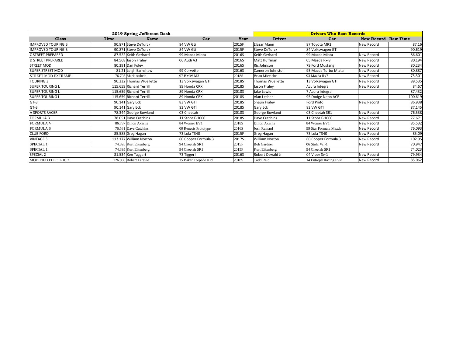|                           |      | 2019 Spring Jefferson Dash |                      | <b>Drivers Who Beat Records</b> |                       |                        |                            |         |
|---------------------------|------|----------------------------|----------------------|---------------------------------|-----------------------|------------------------|----------------------------|---------|
| <b>Class</b>              | Time | <b>Name</b>                | Car                  | Year                            | <b>Driver</b>         | Car                    | <b>New Record Raw Time</b> |         |
| <b>IMPROVED TOURING B</b> |      | 90.871 Steve DeTurck       | 84 VW Gti            | 2015F                           | Elazar Mann           | 87 Toyota MR2          | New Record                 | 87.16   |
| <b>IMPROVED TOURING B</b> |      | 90.871 Steve DeTurck       | 84 VW Gti            | 2015F                           | <b>Steve DeTurck</b>  | 84 Volkswagen GTI      |                            | 90.619  |
| C STREET PREPARED         |      | 87.522 Keith Gerhard       | 99 Mazda Miata       | 2016S                           | Keith Gerhard         | 99 Mazda Miata         | <b>New Record</b>          | 86.601  |
| <b>D STREET PREPARED</b>  |      | 84.568 Jason Fraley        | 06 Audi A3           | 2016S                           | Matt Huffman          | 05 Mazda Rx-8          | New Record                 | 80.194  |
| <b>STREET MOD</b>         |      | 80.391 Dan Foley           |                      | 2016S                           | Ric Johnson           | 79 Ford Mustang        | <b>New Record</b>          | 80.234  |
| <b>SUPER STREET MOD</b>   |      | 81.21 Leigh Earnshaw       | 99 Corvette          | 2016S                           | Cameron Johnston      | 95 Mazda Turbo Miata   | New Record                 | 80.887  |
| <b>STREET MOD EXTREME</b> |      | 76.705 Mark Aubele         | 97 BMW M3            | 2018S                           | <b>Brian Micciche</b> | 93 Mazda Rx7           | New Record                 | 75.301  |
| <b>TOURING 3</b>          |      | 90.332 Thomas Wuellette    | 13 Volkswagen GTI    | 2018S                           | Thomas Wuellette      | 13 Volkswagen GTI      | New Record                 | 89.535  |
| <b>SUPER TOURING L</b>    |      | 115.659 Richard Terrill    | 89 Honda CRX         | 2018S                           | Jason Fraley          | Acura Integra          | New Record                 | 84.67   |
| <b>SUPER TOURING L</b>    |      | 115.659 Richard Terrill    | 89 Honda CRX         | 2018S                           | Jake Lewis            | 7 Acura Integra        |                            | 87.432  |
| <b>SUPER TOURING L</b>    |      | 115.659 Richard Terrill    | 89 Honda CRX         | 2018S                           | Alan Lesher           | 95 Dodge Neon ACR      |                            | 100.619 |
| $GT-3$                    |      | 90.141 Gary Eck            | 83 VW GTI            | 2018S                           | Shaun Fraley          | Ford Pinto             | New Record                 | 86.938  |
| $GT-3$                    |      | 90.141 Gary Eck            | 83 VW GTI            | 2018S                           | Gary Eck              | 83 VW GTI              |                            | 87.145  |
| A SPORTS RACER            |      | 78.344 George Bowland      | 03 Cheetah           | 2018S                           | George Bowland        | 03 Cheetah SR1         | New Record                 | 76.538  |
| <b>FORMULA B</b>          |      | 78.051 Dave Cutchins       | 11 Stohr F-1000      | 2018S                           | Dave Cutchins         | 11 Stohr F-1000        | New Record                 | 77.671  |
| <b>FORMULA V</b>          |      | 86.737 Dillon Axarlis      | 84 Womer EV1         | 2018S                           | Dillon Axarlis        | 84 Womer EV1           | New Record                 | 85.532  |
| <b>FORMULA S</b>          |      | 76.531 Dave Cutchins       | 00 Renesis Prototype | 2016S                           | <b>Josh Reinard</b>   | 99 Star Formula Mazda  | New Record                 | 76.093  |
| <b>CLUB FORD</b>          |      | 85.585 Greg Hagan          | 73 Lola T340         | 2015F                           | Greg Hagan            | 73 Lola T340           | New Record                 | 85.09   |
| <b>VINTAGE 3</b>          |      | 113.177 William Norton     | 60 Cooper Formula 3  | 2017S                           | <b>William Norton</b> | 60 Cooper Formula 3    | New Record                 | 102.95  |
| SPECIAL 1                 |      | 74.395 Kurt Eikenberg      | 94 Cheetah SR1       | 2015F                           | <b>Bob Gardner</b>    | 06 Stohr Wf-1          | New Record                 | 70.947  |
| SPECIAL 1                 |      | 74.395 Kurt Eikenberg      | 94 Cheetah SR1       | 2015F                           | Kurt Eikenberg        | 94 Cheetah SR1         |                            | 74.023  |
| SPECIAL <sub>2</sub>      |      | 81.534 Ken Taggart         | 73 Tigger II         | 2016S                           | Robert Oswald Jr      | 04 Viper Sv-1          | New Record                 | 79.934  |
| MODIFIED ELECTRIC 2       |      | 126.986 Robert Laravie     | 15 Baker Torpedo Kid | 2018S                           | <b>Todd Reid</b>      | 14 Entropy Racing Evsr | New Record                 | 85.062  |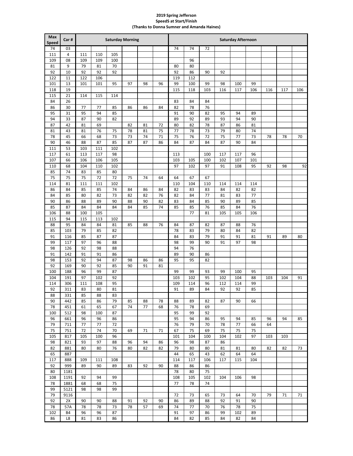#### **2019 Spring Jefferson SpeedS at Start/Finish (Thanks to Donna Sumner and Amanda Haines)**

| Max<br><b>Speed</b> | Car#       | <b>Saturday Morning</b><br><b>Saturday Afternoon</b> |          |          |          |          |          |          |          |          |          |          |          |          |     |     |
|---------------------|------------|------------------------------------------------------|----------|----------|----------|----------|----------|----------|----------|----------|----------|----------|----------|----------|-----|-----|
| 74                  | 03         |                                                      |          |          |          |          |          | 74       | 74       | 72       |          |          |          |          |     |     |
| 111                 | 4          | 111                                                  | 110      | 105      |          |          |          |          |          |          |          |          |          |          |     |     |
| 109                 | 08         | 109                                                  | 109      | 100      |          |          |          |          | 96       |          |          |          |          |          |     |     |
| 81                  | 9          | 79                                                   | 81       | 70       |          |          |          | 80       | 80       |          |          |          |          |          |     |     |
| 92                  | 10         | 92                                                   | 92       | 92       |          |          |          | 92       | 86       | 90       | 92       |          |          |          |     |     |
| 122                 | 11         | 122                                                  | 106      |          |          |          |          | 119      | 112      |          |          |          |          |          |     |     |
| 101                 | 13         | 101                                                  | 101      | 95       | 97       | 98       | 96       | 99       | 100      | 99       | 98       | 100      | 99       |          |     |     |
| 118                 | 19         |                                                      |          |          |          |          |          | 115      | 118      | 103      | 116      | 117      | 106      | 116      | 117 | 106 |
| 115                 | 21         | 114                                                  | 115      | 114      |          |          |          |          |          |          |          |          |          |          |     |     |
| 84                  | 26         |                                                      |          |          |          |          |          | 83       | 84       | 84       |          |          |          |          |     |     |
| 86                  | 30         | 77                                                   | 77       | 85       | 86       | 86       | 84       | 82       | 78       | 76       |          |          |          |          |     |     |
| 95                  | 31         | 95                                                   | 94       | 85       |          |          |          | 91       | 90       | 82       | 95       | 94       | 89       |          |     |     |
| 94                  | 33         | 87                                                   | 90       | 82       |          |          |          | 89       | 92       | 89       | 93       | 94       | 90       |          |     |     |
| 87                  | 42         | 81                                                   | 69       |          | 82       | 81       | 72       | 80       | 82       | 78       | 87       | 86       | 81       |          |     |     |
| 81                  | 43         | 81                                                   | 76       | 75<br>73 | 78       | 81       | 75       | 77       | 78       | 73       | 79       | 80       | 74       |          |     |     |
| 78<br>90            | 45<br>46   | 66<br>88                                             | 68<br>87 | 85       | 73<br>87 | 74<br>87 | 71<br>86 | 75<br>84 | 76<br>87 | 72<br>84 | 75<br>87 | 77<br>90 | 73<br>84 | 78       | 78  | 70  |
| 111                 | 53         | 103                                                  | 111      | 102      |          |          |          |          |          |          |          |          |          |          |     |     |
| 117                 | 61         | 113                                                  | 117      | 98       |          |          |          | 113      |          | 100      | 117      | 117      | 96       |          |     |     |
| 107                 | 66         | 106                                                  | 106      | 105      |          |          |          | 103      | 105      | 100      | 102      | 107      | 101      |          |     |     |
| 110                 | 68         | 104                                                  | 110      | 102      |          |          |          | 97       | 102      | 97       | 91       | 108      | 95       | 92       | 98  | 92  |
| 85                  | 74         | 83                                                   | 85       | 80       |          |          |          |          |          |          |          |          |          |          |     |     |
| 75                  | 75         | 75                                                   | 72       | 72       | 75       | 74       | 64       | 64       | 67       | 67       |          |          |          |          |     |     |
| 114                 | 81         | 111                                                  | 111      | 102      |          |          |          | 110      | 104      | 110      | 114      | 114      | 114      |          |     |     |
| 86                  | 84         | 85                                                   | 85       | 74       | 84       | 86       | 84       | 82       | 83       | 83       | 84       | 82       | 82       |          |     |     |
| 84                  | 85         | 80                                                   | 82       | 73       | 82       | 82       | 76       | 82       | 84       | 77       | 81       | 83       | 77       |          |     |     |
| 90                  | 86         | 88                                                   | 89       | 90       | 88       | 90       | 82       | 83       | 84       | 85       | 90       | 89       | 85       |          |     |     |
| 85                  | 87         | 84                                                   | 84       | 84       | 84       | 85       | 74       | 85       | 85       | 76       | 85       | 84       | 76       |          |     |     |
| 106                 | 88         | 100                                                  | 105      |          |          |          |          |          | 77       | 81       | 105      | 105      | 106      |          |     |     |
| 115                 | 94         | 115                                                  | 113      | 102      |          |          |          |          |          |          |          |          |          |          |     |     |
| 88                  | 95         | 84                                                   | 84       | 81       | 85       | 88       | 76       | 84       | 87       | 82       | 87       | 88       | 76       |          |     |     |
| 85                  | 103        | 79                                                   | 85       | 82       |          |          |          | 78       | 83       | 79       | 80       | 84       | 82       |          |     |     |
| 91<br>99            | 116<br>117 | 85<br>97                                             | 87<br>96 | 87<br>88 |          |          |          | 84<br>98 | 83<br>99 | 79<br>90 | 91<br>91 | 91<br>97 | 81<br>98 | 91       | 89  | 80  |
| 98                  | 126        | 92                                                   | 98       | 88       |          |          |          | 94       | 76       |          |          |          |          |          |     |     |
| 91                  | 142        | 91                                                   | 91       | 86       |          |          |          | 89       | 90       | 86       |          |          |          |          |     |     |
| 98                  | 153        | 92                                                   | 94       | 87       | 98       | 86       | 86       | 95       | 95       | 82       |          |          |          |          |     |     |
| 92                  | 169        | 90                                                   | 92       | 85       | 90       | 91       | 81       |          |          |          |          |          |          |          |     |     |
| 100                 | 188        | 96                                                   | 99       | 87       |          |          |          | 99       | 99       | 93       | 99       | 100      | 95       |          |     |     |
| 104                 | 191        | 97                                                   | 102      | 92       |          |          |          | 103      | 102      | 95       | 102      | 104      | 88       | 103      | 104 | 91  |
| 114                 | 306        | 111                                                  | 108      | 95       |          |          |          | 109      | 114      | 96       | 112      | 114      | 99       |          |     |     |
| 92                  | 311        | 83                                                   | 80       | 81       |          |          |          | 91       | 89       | 84       | 92       | 92       | 85       |          |     |     |
| 88                  | 331        | 85                                                   | 88       | 83       |          |          |          |          |          |          |          |          |          |          |     |     |
| 90                  | 442        | 85                                                   | 86       | 79       | 85       | 88       | 78       | 88       | 89       | 82       | 87       | 90       | 66       |          |     |     |
| 78                  | 451        | 61                                                   | 65       | 67       | 74       | 77       | 68       | 76       | 78       | 69       |          |          |          |          |     |     |
| 100                 | 512        | 98                                                   | 100      | 87       |          |          |          | 95       | 99       | 92       |          |          |          |          |     |     |
| 96                  | 661        | 96<br>77                                             | 96<br>77 | 86<br>72 |          |          |          | 95<br>76 | 94<br>79 | 86       | 95<br>78 | 94<br>77 | 85       | 96<br>64 | 94  | 85  |
| 79<br>75            | 711<br>751 | 72                                                   | 74       | 70       | 69       | 71       | 71       | 67       | 75       | 70<br>69 | 75       | 75       | 66<br>75 |          |     |     |
| 105                 | 817        | 105                                                  | 100      | 96       |          |          |          | 101      | 104      | 100      | 104      | 102      | 97       | 103      | 103 |     |
| 98                  | 821        | 93                                                   | 97       | 88       | 96       | 94       | 86       | 96       | 98       | 87       | 86       |          |          |          |     |     |
| 82                  | 881        | 80                                                   | 80       | 76       | 80       | 82       | 82       | 79       | 80       | 80       | 81       | 81       | 80       | 82       | 82  | 73  |
| 65                  | 887        |                                                      |          |          |          |          |          | 44       | 65       | 43       | 62       | 64       | 64       |          |     |     |
| 117                 | 888        | 109                                                  | 111      | 108      |          |          |          | 114      | 117      | 106      | 117      | 115      | 104      |          |     |     |
| 92                  | 999        | 89                                                   | 90       | 89       | 83       | 92       | 90       | 88       | 86       | 86       |          |          |          |          |     |     |
| 80                  | 1181       |                                                      |          |          |          |          |          | 78       | 80       | 75       |          |          |          |          |     |     |
| 108                 | 1191       | 92                                                   | 94       | 99       |          |          |          | 108      | 105      | 102      | 104      | 106      | 98       |          |     |     |
| 78                  | 1881       | 68                                                   | 68       | 75       |          |          |          | 77       | 78       | 74       |          |          |          |          |     |     |
| 99                  | 5121       | 98                                                   | 98       | 99       |          |          |          |          |          |          |          |          |          |          |     |     |
| 79                  | 9116       |                                                      |          |          |          |          |          | 72       | 73       | 65       | 73       | 64       | 70       | 79       | 71  | 71  |
| 92                  | 2X         | 90                                                   | 90       | 88       | 91       | 92       | 90       | 86       | 89       | 88       | 92       | 91       | 90       |          |     |     |
| 78                  | 57A        | 78                                                   | 78       | 73       | 78       | 57       | 69       | 74       | 77       | 70       | 76       | 78       | 75       |          |     |     |
| 102                 | <b>B4</b>  | 96                                                   | 96       | 87       |          |          |          | 91       | 97       | 86       | 99       | 102      | 89       |          |     |     |
| 86                  | L8         | 81                                                   | 83       | 86       |          |          |          | 84       | 82       | 85       | 84       | 82       | 84       |          |     |     |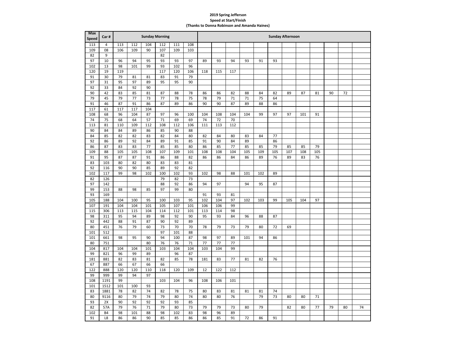#### **Spring Jefferson Speed at Start/Finish**

**(Thanks to Donna Robinson and Amanda Haines)**

| <b>Max</b><br>Speed | Car#           |            |            | <b>Sunday Morning</b> |            |            |            | <b>Sunday Afternoon</b> |            |          |     |     |     |     |     |     |    |    |    |
|---------------------|----------------|------------|------------|-----------------------|------------|------------|------------|-------------------------|------------|----------|-----|-----|-----|-----|-----|-----|----|----|----|
| 113                 | $\overline{4}$ | 113        | 112        | 104                   | 112        | 111        | 108        |                         |            |          |     |     |     |     |     |     |    |    |    |
| 109                 | 08             | 106        | 109        | 90                    | 107        | 109        | 103        |                         |            |          |     |     |     |     |     |     |    |    |    |
| 82                  | 9              |            |            |                       | 82         |            |            |                         |            |          |     |     |     |     |     |     |    |    |    |
| 97                  | 10             | 96         | 94         | 95                    | 93         | 93         | 97         | 89                      | 93         | 94       | 93  | 91  | 93  |     |     |     |    |    |    |
| 102                 | 13             | 98         | 101        | 99                    | 93         | 102        | 96         |                         |            |          |     |     |     |     |     |     |    |    |    |
| 120                 | 19             | 119        |            |                       | 117        | 120        | 106        | 118                     | 115        | 117      |     |     |     |     |     |     |    |    |    |
| 91                  | 30             | 79         | 81         | 81                    | 83         | 91         | 79         |                         |            |          |     |     |     |     |     |     |    |    |    |
| 97                  | 31             | 95         | 97         | 89                    | 95         | 95         | 90         |                         |            |          |     |     |     |     |     |     |    |    |    |
| 92                  | 33             | 84         | 92         | 90                    |            |            |            |                         |            |          |     |     |     |     |     |     |    |    |    |
| 90                  | 42             | 83         | 85         | 81                    | 87         | 88         | 78         | 86                      | 86         | 82       | 88  | 84  | 82  | 89  | 87  | 81  | 90 | 72 |    |
| 79                  | 45             | 79         | 77         | 73                    | 77         | 78         | 75         | 78                      | 79         | 71       | 71  | 75  | 64  |     |     |     |    |    |    |
| 91                  | 46             | 87         | 91         | 86                    | 87         | 89         | 86         | 90                      | 90         | 87       | 89  | 88  | 86  |     |     |     |    |    |    |
| 117                 | 61             | 117        | 117        | 104                   |            |            |            |                         |            |          |     |     |     |     |     |     |    |    |    |
| 108                 | 68             | 96         | 104        | 87                    | 97         | 96         | 100        | 104                     | 108        | 104      | 104 | 99  | 97  | 97  | 101 | 91  |    |    |    |
| 74                  | 75             | 68         | 64         | 57                    | 71         | 69         | 69         | 74                      | 72         | 70       |     |     |     |     |     |     |    |    |    |
| 113                 | 81             | 110        | 109        | 112                   | 108        | 112        | 106        | 111                     | 113        | 112      |     |     |     |     |     |     |    |    |    |
| 90                  | 84             | 84         | 89         | 86                    | 85         | 90         | 88         |                         |            |          |     |     |     |     |     |     |    |    |    |
| 84                  | 85             | 82         | 82         | 83                    | 82         | 84         | 80         | 82                      | 84         | 80       | 83  | 84  | 77  |     |     |     |    |    |    |
| 92                  | 86             | 89         | 92         | 84                    | 89         | 91         | 85         | 91                      | 90         | 84       | 89  |     | 86  |     |     |     |    |    |    |
| 86                  | 87             | 83         | 83         | 77                    | 85         | 85         | 80         | 86                      | 85         | 77       | 85  | 85  | 79  | 85  | 85  | 79  |    |    |    |
| 109                 | 88             | 105        | 105        | 108                   | 107        | 109        | 101        | 108                     | 108        | 104      | 105 | 109 | 105 | 107 | 108 | 105 |    |    |    |
| 91                  | 95             | 87         | 87         | 91                    | 86         | 88         | 82         | 86                      | 86         | 84       | 86  | 89  | 76  | 89  | 83  | 76  |    |    |    |
| 83                  | 103            | 80         | 82         | 80                    | 83         | 83         | 81         |                         |            |          |     |     |     |     |     |     |    |    |    |
| 92                  | 116            | 90         | 90         | 85                    | 89         | 92         | 82         |                         |            |          |     |     |     |     |     |     |    |    |    |
| 102                 | 117            | 99         | 98         | 102                   | 100        | 102        | 93         | 102                     | 98         | 88       | 101 | 102 | 89  |     |     |     |    |    |    |
| 82                  | 126            |            |            |                       | 79         | 82         | 73         |                         |            |          |     |     |     |     |     |     |    |    |    |
| 97                  | 142            |            |            |                       | 88         | 92         | 86         | 94                      | 97         |          | 94  | 95  | 87  |     |     |     |    |    |    |
| 99                  | 153            | 88         | 98         | 85                    | 97         | 99         | 80         |                         |            |          |     |     |     |     |     |     |    |    |    |
| 93                  | 169            |            |            |                       |            |            |            | 91                      | 93         | 81       |     |     |     |     |     |     |    |    |    |
| 105                 | 188            | 104        | 100        | 95                    | 100        | 103        | 95         | 102                     | 104        | 97       | 102 | 103 | 99  | 105 | 104 | 97  |    |    |    |
| 107<br>115          | 191<br>306     | 104<br>113 | 104<br>115 | 101<br>104            | 105<br>114 | 107<br>112 | 101<br>101 | 106<br>113              | 106<br>114 | 99<br>98 |     |     |     |     |     |     |    |    |    |
| 98                  | 311            | 95         | 94         | 89                    | 98         | 92         | 90         | 95                      | 93         | 84       | 96  | 88  | 87  |     |     |     |    |    |    |
| 92                  | 442            | 88         | 91         | 87                    | 90         | 92         | 89         |                         |            |          |     |     |     |     |     |     |    |    |    |
| 80                  | 451            | 76         | 79         | 60                    | 73         | 70         | 70         | 78                      | 79         | 73       | 79  | 80  | 72  | 69  |     |     |    |    |    |
| 101                 | 512            |            |            |                       | 97         | 101        | 88         |                         |            |          |     |     |     |     |     |     |    |    |    |
| 101                 | 661            | 98         | 95         | 90                    | 94         | 100        | 87         | 98                      | 97         | 89       | 101 | 94  | 86  |     |     |     |    |    |    |
| 80                  | 751            |            |            | 80                    | 76         | 76         | 71         | 77                      | 77         | 77       |     |     |     |     |     |     |    |    |    |
| 104                 | 817            | 104        | 104        | 101                   | 103        | 104        | 104        | 103                     | 104        | 99       |     |     |     |     |     |     |    |    |    |
| 99                  | 821            | 96         | 99         | 89                    |            | 96         | 87         |                         |            |          |     |     |     |     |     |     |    |    |    |
| 181                 | 881            | 82         | 83         | 81                    | 82         | 85         | 78         | 181                     | 83         | 77       | 81  | 82  | 76  |     |     |     |    |    |    |
| 67                  | 887            | 66         | 67         | 66                    | 66         |            |            |                         |            |          |     |     |     |     |     |     |    |    |    |
| 122                 | 888            | 120        | 120        | 110                   | 118        | 120        | 109        | 12                      | 122        | 112      |     |     |     |     |     |     |    |    |    |
| 99                  | 999            | 99         | 94         | 97                    |            |            |            |                         |            |          |     |     |     |     |     |     |    |    |    |
| 108                 | 1191           | 99         |            |                       | 103        | 104        | 96         | 108                     | 106        | 101      |     |     |     |     |     |     |    |    |    |
| 101                 | 1512           | 101        | 100        | 93                    |            |            |            |                         |            |          |     |     |     |     |     |     |    |    |    |
| 83                  | 1881           | 78         | 82         | 74                    | 82         | 78         | 75         | 80                      | 83         | 81       | 81  | 81  | 74  |     |     |     |    |    |    |
| 80                  | 9116           | 80         | 79         | 74                    | 79         | 80         | 74         | 80                      | 80         | 76       |     | 79  | 73  | 80  | 80  | 71  |    |    |    |
| 93                  | 2X             | 90         | 92         | 92                    | 92         | 93         | 85         |                         |            |          |     |     |     |     |     |     |    |    |    |
| 82                  | 57A            | 79         | 76         | 71                    | 79         | 80         | 73         | 79                      | 79         | 73       | 80  | 79  |     | 82  | 80  | 77  | 79 | 80 | 74 |
| 102                 | <b>B4</b>      | 98         | 101        | 88                    | 98         | 102        | 83         | 98                      | 96         | 89       |     |     |     |     |     |     |    |    |    |
| 91                  | L8             | 86         | 86         | 90                    | 85         | 85         | 86         | 86                      | 85         | 91       | 72  | 86  | 91  |     |     |     |    |    |    |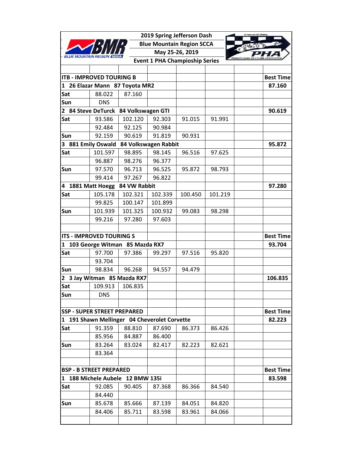|                   |                                    |                                              |                      | 2019 Spring Jefferson Dash            |            |                  |
|-------------------|------------------------------------|----------------------------------------------|----------------------|---------------------------------------|------------|------------------|
|                   |                                    |                                              |                      | <b>Blue Mountain Region SCCA</b>      |            |                  |
| <b>BLUE MOUNT</b> |                                    |                                              |                      | May 25-26, 2019                       | $\epsilon$ |                  |
|                   |                                    |                                              |                      | <b>Event 1 PHA Champioship Series</b> |            | PENNSYLVANIA HI  |
|                   |                                    |                                              |                      |                                       |            |                  |
|                   | <b>ITB - IMPROVED TOURING B</b>    |                                              |                      |                                       |            | <b>Best Time</b> |
|                   |                                    | 1 26 Elazar Mann 87 Toyota MR2               |                      |                                       |            | 87.160           |
| Sat               | 88.022                             | 87.160                                       |                      |                                       |            |                  |
| Sun               | <b>DNS</b>                         |                                              |                      |                                       |            |                  |
| $\mathbf{2}$      |                                    | 84 Steve DeTurck 84 Volkswagen GTI           |                      |                                       |            | 90.619           |
| Sat               | 93.586                             | 102.120                                      | 92.303               | 91.015                                | 91.991     |                  |
|                   | 92.484                             | 92.125                                       | 90.984               |                                       |            |                  |
| Sun               | 92.159                             | 90.619                                       | 91.819               | 90.931                                |            |                  |
|                   | 3 881 Emily Oswald                 |                                              | 84 Volkswagen Rabbit |                                       |            | 95.872           |
| Sat               | 101.597                            | 98.895                                       | 98.145               | 96.516                                | 97.625     |                  |
|                   | 96.887                             | 98.276                                       | 96.377               |                                       |            |                  |
| Sun               | 97.570                             | 96.713                                       | 96.525               | 95.872                                | 98.793     |                  |
|                   | 99.414                             | 97.267                                       | 96.822               |                                       |            |                  |
| 4 1881 Matt Hoegg |                                    | 84 VW Rabbit                                 |                      |                                       |            | 97.280           |
| Sat               | 105.178                            | 102.321                                      | 102.339              | 100.450                               | 101.219    |                  |
|                   | 99.825                             | 100.147                                      | 101.899              |                                       |            |                  |
| Sun               | 101.939                            | 101.325                                      | 100.932              | 99.083                                | 98.298     |                  |
|                   | 99.216                             | 97.280                                       | 97.603               |                                       |            |                  |
|                   |                                    |                                              |                      |                                       |            |                  |
|                   | <b>ITS - IMPROVED TOURING S</b>    |                                              |                      |                                       |            | <b>Best Time</b> |
|                   |                                    | 1 103 George Witman 85 Mazda RX7             |                      |                                       |            | 93.704           |
| Sat               | 97.700                             | 97.386                                       | 99.297               | 97.516                                | 95.820     |                  |
|                   | 93.704                             |                                              |                      |                                       |            |                  |
| Sun               | 98.834                             | 96.268                                       | 94.557               | 94.479                                |            |                  |
| $\overline{2}$    |                                    | 3 Jay Witman 85 Mazda RX7                    |                      |                                       |            | 106.835          |
| Sat               | 109.913                            | 106.835                                      |                      |                                       |            |                  |
| Sun               | <b>DNS</b>                         |                                              |                      |                                       |            |                  |
|                   |                                    |                                              |                      |                                       |            |                  |
|                   | <b>SSP - SUPER STREET PREPARED</b> |                                              |                      |                                       |            | <b>Best Time</b> |
|                   |                                    | 1 191 Shawn Mellinger 04 Cheverolet Corvette |                      |                                       |            | 82.223           |
| Sat               | 91.359                             | 88.810                                       | 87.690               | 86.373                                | 86.426     |                  |
|                   | 85.956                             | 84.887                                       | 86.400               |                                       |            |                  |
| Sun               | 83.264                             | 83.024                                       | 82.417               | 82.223                                | 82.621     |                  |
|                   | 83.364                             |                                              |                      |                                       |            |                  |
|                   |                                    |                                              |                      |                                       |            |                  |
|                   | <b>BSP - B STREET PREPARED</b>     |                                              |                      |                                       |            | <b>Best Time</b> |
|                   | 1 188 Michele Aubele               | <b>12 BMW 135i</b>                           |                      |                                       |            | 83.598           |
| Sat               | 92.085                             | 90.405                                       | 87.368               | 86.366                                | 84.540     |                  |
|                   | 84.440                             |                                              |                      |                                       |            |                  |
| Sun               | 85.678                             | 85.666                                       | 87.139               | 84.051                                | 84.820     |                  |
|                   | 84.406                             | 85.711                                       | 83.598               | 83.961                                | 84.066     |                  |
|                   |                                    |                                              |                      |                                       |            |                  |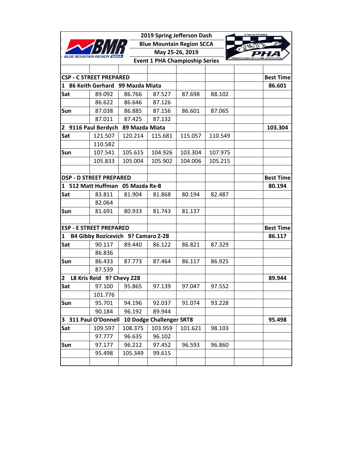|              |                                    |                | 2019 Spring Jefferson Dash            |                 |         | 60 Years and Still Climbing |
|--------------|------------------------------------|----------------|---------------------------------------|-----------------|---------|-----------------------------|
|              |                                    |                | <b>Blue Mountain Region SCCA</b>      |                 |         |                             |
|              |                                    |                |                                       | May 25-26, 2019 |         | $\epsilon$                  |
|              |                                    |                | <b>Event 1 PHA Champioship Series</b> |                 |         |                             |
|              |                                    |                |                                       |                 |         |                             |
|              | <b>CSP - C STREET PREPARED</b>     |                |                                       |                 |         | <b>Best Time</b>            |
|              | 1 86 Keith Gerhard 99 Mazda Miata  |                |                                       |                 |         | 86.601                      |
| Sat          | 89.092                             | 86.766         | 87.527                                | 87.698          | 88.102  |                             |
|              | 86.622                             | 86.646         | 87.126                                |                 |         |                             |
| Sun          | 87.038                             | 86.885         | 87.156                                | 86.601          | 87.065  |                             |
|              | 87.011                             | 87.425         | 87.132                                |                 |         |                             |
|              | 2 9116 Paul Berdych                | 89 Mazda Miata |                                       |                 |         | 103.304                     |
| Sat          | 121.507                            | 120.214        | 115.681                               | 115.057         | 110.549 |                             |
|              | 110.582                            |                |                                       |                 |         |                             |
| Sun          | 107.541                            | 105.615        | 104.926                               | 103.304         | 107.975 |                             |
|              | 105.833                            | 105.004        | 105.902                               | 104.006         | 105.215 |                             |
|              |                                    |                |                                       |                 |         |                             |
|              | <b>DSP - D STREET PREPARED</b>     |                |                                       |                 |         | <b>Best Time</b>            |
| $\mathbf{1}$ | 512 Matt Huffman 05 Mazda Rx-8     |                |                                       |                 |         | 80.194                      |
| Sat          | 83.811                             | 81.904         | 81.868                                | 80.194          | 82.487  |                             |
|              | 82.064                             |                |                                       |                 |         |                             |
| Sun          | 81.691                             | 80.933         | 81.743                                | 81.137          |         |                             |
|              |                                    |                |                                       |                 |         |                             |
|              | <b>ESP - E STREET PREPARED</b>     |                |                                       |                 |         | <b>Best Time</b>            |
| 1            | B4 Gibby Bozicevich 9? Camaro Z-28 |                |                                       |                 |         | 86.117                      |
| Sat          | 90.117                             | 89.440         | 86.122                                | 86.821          | 87.329  |                             |
|              | 86.836                             |                |                                       |                 |         |                             |
| Sun          | 86.433                             | 87.773         | 87.464                                | 86.117          | 86.925  |                             |
|              | 87.539                             |                |                                       |                 |         |                             |
| 2            | L8 Kris Reid 9? Chevy Z28          |                |                                       |                 |         | 89.944                      |
| Sat          | 97.100                             | 95.865         | 97.139                                | 97.047          | 97.552  |                             |
|              | 101.776                            |                |                                       |                 |         |                             |
| Sun          | 95.701                             | 94.196         | 92.037                                | 91.074          | 93.228  |                             |
|              | 90.184                             | 96.192         | 89.944                                |                 |         |                             |
|              | 3 311 Paul O'Donnell               |                | 10 Dodge Challenger SRT8              |                 |         | 95.498                      |
| Sat          | 109.597                            | 108.375        | 103.959                               | 101.621         | 98.103  |                             |
|              | 97.777                             | 96.635         | 96.102                                |                 |         |                             |
| Sun          | 97.177                             | 96.212         | 97.452                                | 96.593          | 96.860  |                             |
|              | 95.498                             | 105.349        | 99.615                                |                 |         |                             |
|              |                                    |                |                                       |                 |         |                             |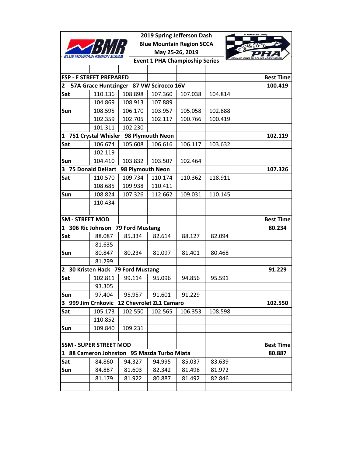|                        |                                            |                  | 2019 Spring Jefferson Dash            |                 |         | 60 Years and Still Climbing |
|------------------------|--------------------------------------------|------------------|---------------------------------------|-----------------|---------|-----------------------------|
|                        |                                            |                  | <b>Blue Mountain Region SCCA</b>      |                 |         |                             |
|                        |                                            |                  |                                       | May 25-26, 2019 |         | $\epsilon$                  |
|                        |                                            |                  | <b>Event 1 PHA Champioship Series</b> |                 |         | <b>PENNSYLVANIA</b>         |
|                        |                                            |                  |                                       |                 |         |                             |
|                        | <b>FSP - F STREET PREPARED</b>             |                  |                                       |                 |         | <b>Best Time</b>            |
| 2                      | 57A Grace Huntzinger 87 VW Scirocco 16V    |                  |                                       |                 |         | 100.419                     |
| Sat                    | 110.136                                    | 108.898          | 107.360                               | 107.038         | 104.814 |                             |
|                        | 104.869                                    | 108.913          | 107.889                               |                 |         |                             |
| Sun                    | 108.595                                    | 106.170          | 103.957                               | 105.058         | 102.888 |                             |
|                        | 102.359                                    | 102.705          | 102.117                               | 100.766         | 100.419 |                             |
|                        | 101.311                                    | 102.230          |                                       |                 |         |                             |
| 1                      | 751 Crystal Whisler 98 Plymouth Neon       |                  |                                       |                 |         | 102.119                     |
| Sat                    | 106.674                                    | 105.608          | 106.616                               | 106.117         | 103.632 |                             |
|                        | 102.119                                    |                  |                                       |                 |         |                             |
| Sun                    | 104.410                                    | 103.832          | 103.507                               | 102.464         |         |                             |
| 3                      | <b>75 Donald DeHart</b>                    | 98 Plymouth Neon |                                       |                 |         | 107.326                     |
| Sat                    | 110.570                                    | 109.734          | 110.174                               | 110.362         | 118.911 |                             |
|                        | 108.685                                    | 109.938          | 110.411                               |                 |         |                             |
| Sun                    | 108.824                                    | 107.326          | 112.662                               | 109.031         | 110.145 |                             |
|                        | 110.434                                    |                  |                                       |                 |         |                             |
|                        |                                            |                  |                                       |                 |         |                             |
| <b>SM - STREET MOD</b> |                                            |                  |                                       |                 |         | <b>Best Time</b>            |
| 1                      | 306 Ric Johnson                            | 79 Ford Mustang  |                                       |                 |         | 80.234                      |
| Sat                    | 88.087                                     | 85.334           | 82.614                                | 88.127          | 82.094  |                             |
|                        | 81.635                                     |                  |                                       |                 |         |                             |
| Sun                    | 80.847                                     | 80.234           | 81.097                                | 81.401          | 80.468  |                             |
|                        | 81.299                                     |                  |                                       |                 |         |                             |
|                        | 2 30 Kristen Hack 79 Ford Mustang          |                  |                                       |                 |         | 91.229                      |
| Sat                    | 102.811                                    | 99.114           | 95.096                                | 94.856          | 95.591  |                             |
|                        | 93.305                                     |                  |                                       |                 |         |                             |
| Sun                    | 97.404                                     | 95.957           | 91.601                                | 91.229          |         |                             |
| 3 999 Jim Crnkovic     |                                            |                  | 12 Chevrolet ZL1 Camaro               |                 |         | 102.550                     |
| Sat                    | 105.173                                    | 102.550          | 102.565                               | 106.353         | 108.598 |                             |
|                        | 110.852                                    |                  |                                       |                 |         |                             |
| Sun                    | 109.840                                    | 109.231          |                                       |                 |         |                             |
|                        |                                            |                  |                                       |                 |         |                             |
|                        | <b>SSM - SUPER STREET MOD</b>              |                  |                                       |                 |         | <b>Best Time</b>            |
|                        | 1 88 Cameron Johnston 95 Mazda Turbo Miata |                  |                                       |                 |         | 80.887                      |
| Sat                    | 84.860                                     | 94.327           | 94.995                                | 85.037          | 83.639  |                             |
| Sun                    | 84.887                                     | 81.603           | 82.342                                | 81.498          | 81.972  |                             |
|                        | 81.179                                     | 81.922           | 80.887                                | 81.492          | 82.846  |                             |
|                        |                                            |                  |                                       |                 |         |                             |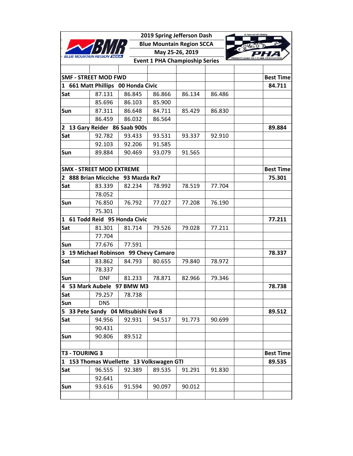|                |                                          |        | 2019 Spring Jefferson Dash            |                 |        |                  |
|----------------|------------------------------------------|--------|---------------------------------------|-----------------|--------|------------------|
|                |                                          |        | <b>Blue Mountain Region SCCA</b>      |                 |        |                  |
| BLUE MOUNT     |                                          |        |                                       | May 25-26, 2019 |        | $\epsilon$       |
|                |                                          |        | <b>Event 1 PHA Champioship Series</b> |                 |        | PENNSYLVANIA HI  |
|                |                                          |        |                                       |                 |        |                  |
|                | <b>SMF - STREET MOD FWD</b>              |        |                                       |                 |        | <b>Best Time</b> |
|                | 1 661 Matt Phillips 00 Honda Civic       |        |                                       |                 |        | 84.711           |
| Sat            | 87.131                                   | 86.845 | 86.866                                | 86.134          | 86.486 |                  |
|                | 85.696                                   | 86.103 | 85.900                                |                 |        |                  |
| Sun            | 87.311                                   | 86.648 | 84.711                                | 85.429          | 86.830 |                  |
|                | 86.459                                   | 86.032 | 86.564                                |                 |        |                  |
| $\mathbf{2}$   | 13 Gary Reider 86 Saab 900s              |        |                                       |                 |        | 89.884           |
| Sat            | 92.782                                   | 93.433 | 93.531                                | 93.337          | 92.910 |                  |
|                | 92.103                                   | 92.206 | 91.585                                |                 |        |                  |
| Sun            | 89.884                                   | 90.469 | 93.079                                | 91.565          |        |                  |
|                |                                          |        |                                       |                 |        |                  |
|                | <b>SMX - STREET MOD EXTREME</b>          |        |                                       |                 |        | <b>Best Time</b> |
| 2              | 888 Brian Micciche 93 Mazda Rx7          |        |                                       |                 |        | 75.301           |
| Sat            | 83.339                                   | 82.234 | 78.992                                | 78.519          | 77.704 |                  |
|                | 78.052                                   |        |                                       |                 |        |                  |
| Sun            | 76.850                                   | 76.792 | 77.027                                | 77.208          | 76.190 |                  |
|                | 75.301                                   |        |                                       |                 |        |                  |
| $\mathbf{1}$   | 61 Todd Reid 95 Honda Civic              |        |                                       |                 |        | 77.211           |
| Sat            | 81.301                                   | 81.714 | 79.526                                | 79.028          | 77.211 |                  |
|                | 77.704                                   |        |                                       |                 |        |                  |
| Sun            | 77.676                                   | 77.591 |                                       |                 |        |                  |
| 3              | 19 Michael Robinson 99 Chevy Camaro      |        |                                       |                 |        | 78.337           |
| Sat            | 83.862                                   | 84.793 | 80.655                                | 79.840          | 78.972 |                  |
|                | 78.337                                   |        |                                       |                 |        |                  |
| Sun            | <b>DNF</b>                               | 81.233 | 78.871                                | 82.966          | 79.346 |                  |
|                | 4 53 Mark Aubele 97 BMW M3               |        |                                       |                 |        | 78.738           |
| Sat            | 79.257                                   | 78.738 |                                       |                 |        |                  |
| Sun            | <b>DNS</b>                               |        |                                       |                 |        |                  |
|                | 5 33 Pete Sandy 04 Mitsubishi Evo 8      |        |                                       |                 |        | 89.512           |
| Sat            | 94.956                                   | 92.931 | 94.517                                | 91.773          | 90.699 |                  |
|                | 90.431                                   |        |                                       |                 |        |                  |
| Sun            | 90.806                                   | 89.512 |                                       |                 |        |                  |
|                |                                          |        |                                       |                 |        |                  |
| T3 - TOURING 3 |                                          |        |                                       |                 |        | <b>Best Time</b> |
|                | 1 153 Thomas Wuellette 13 Volkswagen GTI |        |                                       |                 |        | 89.535           |
| Sat            | 96.555                                   | 92.389 | 89.535                                | 91.291          | 91.830 |                  |
|                | 92.641                                   |        |                                       |                 |        |                  |
| Sun            | 93.616                                   | 91.594 | 90.097                                | 90.012          |        |                  |
|                |                                          |        |                                       |                 |        |                  |
|                |                                          |        |                                       |                 |        |                  |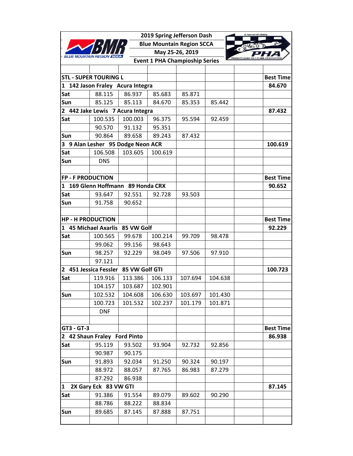|                          |                                      |         | 2019 Spring Jefferson Dash            |                 |         |                  |
|--------------------------|--------------------------------------|---------|---------------------------------------|-----------------|---------|------------------|
|                          |                                      |         | <b>Blue Mountain Region SCCA</b>      |                 |         |                  |
|                          |                                      |         |                                       | May 25-26, 2019 |         |                  |
|                          |                                      |         | <b>Event 1 PHA Champioship Series</b> |                 |         |                  |
|                          |                                      |         |                                       |                 |         |                  |
|                          | <b>STL - SUPER TOURING L</b>         |         |                                       |                 |         | <b>Best Time</b> |
|                          | 1 142 Jason Fraley Acura Integra     |         |                                       |                 |         | 84.670           |
| Sat                      | 88.115                               | 86.937  | 85.683                                | 85.871          |         |                  |
| Sun                      | 85.125                               | 85.113  | 84.670                                | 85.353          | 85.442  |                  |
| $\mathbf{2}$             | 442 Jake Lewis 7 Acura Integra       |         |                                       |                 |         | 87.432           |
| Sat                      | 100.535                              | 100.003 | 96.375                                | 95.594          | 92.459  |                  |
|                          | 90.570                               | 91.132  | 95.351                                |                 |         |                  |
| Sun                      | 90.864                               | 89.658  | 89.243                                | 87.432          |         |                  |
| 3                        | 9 Alan Lesher 95 Dodge Neon ACR      |         |                                       |                 |         | 100.619          |
| Sat                      | 106.508                              | 103.605 | 100.619                               |                 |         |                  |
| Sun                      | <b>DNS</b>                           |         |                                       |                 |         |                  |
|                          |                                      |         |                                       |                 |         |                  |
| <b>FP - F PRODUCTION</b> |                                      |         |                                       |                 |         | <b>Best Time</b> |
| $\mathbf{1}$             | 169 Glenn Hoffmann 89 Honda CRX      |         |                                       |                 |         | 90.652           |
| Sat                      | 93.647                               | 92.551  | 92.728                                | 93.503          |         |                  |
| Sun                      | 91.758                               | 90.652  |                                       |                 |         |                  |
|                          |                                      |         |                                       |                 |         |                  |
| <b>HP - H PRODUCTION</b> |                                      |         |                                       |                 |         | <b>Best Time</b> |
|                          | 1 45 Michael Axarlis 85 VW Golf      |         |                                       |                 |         | 92.229           |
| Sat                      | 100.565                              | 99.678  | 100.214                               | 99.709          | 98.478  |                  |
|                          | 99.062                               | 99.156  | 98.643                                |                 |         |                  |
| Sun                      | 98.257                               | 92.229  | 98.049                                | 97.506          | 97.910  |                  |
|                          | 97.121                               |         |                                       |                 |         |                  |
|                          | 2 451 Jessica Fessler 85 VW Golf GTI |         |                                       |                 |         | 100.723          |
| Sat                      | 119.916                              | 113.386 | 106.133                               | 107.694         | 104.638 |                  |
|                          | 104.157                              | 103.687 | 102.901                               |                 |         |                  |
| Sun                      | 102.532                              | 104.608 | 106.630                               | 103.697         | 101.430 |                  |
|                          | 100.723                              | 101.532 | 102.237                               | 101.179         | 101.871 |                  |
|                          | <b>DNF</b>                           |         |                                       |                 |         |                  |
|                          |                                      |         |                                       |                 |         |                  |
| GT3 - GT-3               |                                      |         |                                       |                 |         | <b>Best Time</b> |
|                          | 2 42 Shaun Fraley Ford Pinto         |         |                                       |                 |         | 86.938           |
| Sat                      | 95.119                               | 93.502  | 93.904                                | 92.732          | 92.856  |                  |
|                          | 90.987                               | 90.175  |                                       |                 |         |                  |
| Sun                      | 91.893                               | 92.034  | 91.250                                | 90.324          | 90.197  |                  |
|                          | 88.972                               | 88.057  | 87.765                                | 86.983          | 87.279  |                  |
|                          | 87.292                               | 86.938  |                                       |                 |         |                  |
| 1                        | 2X Gary Eck 83 VW GTI                |         |                                       |                 |         | 87.145           |
| Sat                      | 91.386                               | 91.554  | 89.079                                | 89.602          | 90.290  |                  |
|                          | 88.786                               | 88.222  | 88.834                                |                 |         |                  |
| Sun                      | 89.685                               | 87.145  | 87.888                                | 87.751          |         |                  |
|                          |                                      |         |                                       |                 |         |                  |
|                          |                                      |         |                                       |                 |         |                  |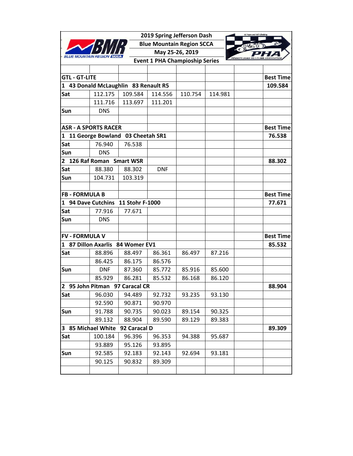|                       |                                      |                 | 2019 Spring Jefferson Dash            |                 |         |                  |
|-----------------------|--------------------------------------|-----------------|---------------------------------------|-----------------|---------|------------------|
|                       |                                      |                 | <b>Blue Mountain Region SCCA</b>      |                 |         |                  |
|                       |                                      |                 |                                       | May 25-26, 2019 |         | $\epsilon$       |
|                       |                                      |                 | <b>Event 1 PHA Champioship Series</b> |                 |         |                  |
|                       |                                      |                 |                                       |                 |         |                  |
| <b>GTL - GT-LITE</b>  |                                      |                 |                                       |                 |         | <b>Best Time</b> |
|                       | 1 43 Donald McLaughlin 83 Renault R5 |                 |                                       |                 |         | 109.584          |
| Sat                   | 112.175                              | 109.584         | 114.556                               | 110.754         | 114.981 |                  |
|                       | 111.716                              | 113.697         | 111.201                               |                 |         |                  |
| Sun                   | <b>DNS</b>                           |                 |                                       |                 |         |                  |
|                       | <b>ASR - A SPORTS RACER</b>          |                 |                                       |                 |         | <b>Best Time</b> |
| 1                     | 11 George Bowland                    | 03 Cheetah SR1  |                                       |                 |         | 76.538           |
| Sat                   | 76.940                               | 76.538          |                                       |                 |         |                  |
| Sun                   | <b>DNS</b>                           |                 |                                       |                 |         |                  |
|                       | 2 126 Raf Roman Smart WSR            |                 |                                       |                 |         | 88.302           |
| Sat                   | 88.380                               | 88.302          | <b>DNF</b>                            |                 |         |                  |
| Sun                   | 104.731                              | 103.319         |                                       |                 |         |                  |
|                       |                                      |                 |                                       |                 |         |                  |
| <b>FB - FORMULA B</b> |                                      |                 |                                       |                 |         | <b>Best Time</b> |
|                       | 1 94 Dave Cutchins                   | 11 Stohr F-1000 |                                       |                 |         | 77.671           |
| Sat                   | 77.916                               | 77.671          |                                       |                 |         |                  |
| Sun                   | <b>DNS</b>                           |                 |                                       |                 |         |                  |
|                       |                                      |                 |                                       |                 |         |                  |
| <b>FV - FORMULA V</b> |                                      |                 |                                       |                 |         | <b>Best Time</b> |
|                       | 1 87 Dillon Axarlis                  | 84 Womer EV1    |                                       |                 |         | 85.532           |
| Sat                   | 88.896                               | 88.497          | 86.361                                | 86.497          | 87.216  |                  |
|                       | 86.425                               | 86.175          | 86.576                                |                 |         |                  |
| Sun                   | <b>DNF</b>                           | 87.360          | 85.772                                | 85.916          | 85.600  |                  |
|                       | 85.929                               | 86.281          | 85.532                                | 86.168          | 86.120  |                  |
|                       | 2 95 John Pitman 97 Caracal CR       |                 |                                       |                 |         | 88.904           |
| Sat                   | 96.030                               | 94.489          | 92.732                                | 93.235          | 93.130  |                  |
|                       | 92.590                               | 90.871          | 90.970                                |                 |         |                  |
| Sun                   | 91.788                               | 90.735          | 90.023                                | 89.154          | 90.325  |                  |
|                       | 89.132                               | 88.904          | 89.590                                | 89.129          | 89.383  |                  |
|                       | 3 85 Michael White                   | 92 Caracal D    |                                       |                 |         | 89.309           |
| Sat                   | 100.184                              | 96.396          | 96.353                                | 94.388          | 95.687  |                  |
|                       | 93.889                               | 95.126          | 93.895                                |                 |         |                  |
| Sun                   | 92.585                               | 92.183          | 92.143                                | 92.694          | 93.181  |                  |
|                       | 90.125                               | 90.832          | 89.309                                |                 |         |                  |
|                       |                                      |                 |                                       |                 |         |                  |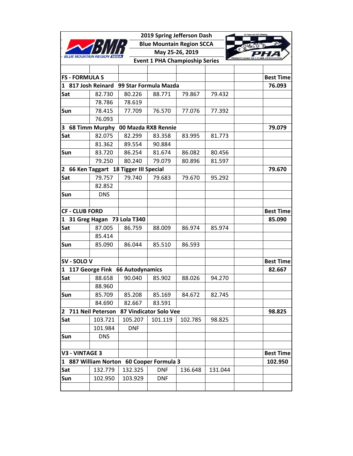|                               |                     |                                          | 2019 Spring Jefferson Dash            |                 |         | 60 Years and Still Climbing |
|-------------------------------|---------------------|------------------------------------------|---------------------------------------|-----------------|---------|-----------------------------|
|                               |                     |                                          | <b>Blue Mountain Region SCCA</b>      |                 |         |                             |
|                               |                     |                                          |                                       | May 25-26, 2019 |         | $\epsilon$                  |
|                               |                     |                                          | <b>Event 1 PHA Champioship Series</b> |                 |         | <b>FNNSYLVANIA</b>          |
|                               |                     |                                          |                                       |                 |         |                             |
| <b>FS - FORMULA S</b>         |                     |                                          |                                       |                 |         | <b>Best Time</b>            |
| 1 817 Josh Reinard            |                     | 99 Star Formula Mazda                    |                                       |                 |         | 76.093                      |
| Sat                           | 82.730              | 80.226                                   | 88.771                                | 79.867          | 79.432  |                             |
|                               | 78.786              | 78.619                                   |                                       |                 |         |                             |
| Sun                           | 78.415              | 77.709                                   | 76.570                                | 77.076          | 77.392  |                             |
|                               | 76.093              |                                          |                                       |                 |         |                             |
| 3 68 Timm Murphy              |                     |                                          | 00 Mazda RX8 Rennie                   |                 |         | 79.079                      |
| Sat                           | 82.075              | 82.299                                   | 83.358                                | 83.995          | 81.773  |                             |
|                               | 81.362              | 89.554                                   | 90.884                                |                 |         |                             |
| Sun                           | 83.720              | 86.254                                   | 81.674                                | 86.082          | 80.456  |                             |
|                               | 79.250              | 80.240                                   | 79.079                                | 80.896          | 81.597  |                             |
| $\mathbf{2}$                  |                     | 66 Ken Taggart 18 Tigger III Special     |                                       |                 |         | 79.670                      |
| Sat                           | 79.757              | 79.740                                   | 79.683                                | 79.670          | 95.292  |                             |
|                               | 82.852              |                                          |                                       |                 |         |                             |
| Sun                           | <b>DNS</b>          |                                          |                                       |                 |         |                             |
|                               |                     |                                          |                                       |                 |         |                             |
| <b>CF - CLUB FORD</b>         |                     |                                          |                                       |                 |         | <b>Best Time</b>            |
| 31 Greg Hagan<br>$\mathbf{1}$ |                     | 73 Lola T340                             |                                       |                 |         | 85.090                      |
| Sat                           | 87.005              | 86.759                                   | 88.009                                | 86.974          | 85.974  |                             |
|                               | 85.414              |                                          |                                       |                 |         |                             |
| Sun                           | 85.090              | 86.044                                   | 85.510                                | 86.593          |         |                             |
|                               |                     |                                          |                                       |                 |         |                             |
| SV - SOLO V                   |                     |                                          |                                       |                 |         | <b>Best Time</b>            |
| $\mathbf{1}$                  |                     | 117 George Fink 66 Autodynamics          |                                       |                 |         | 82.667                      |
| Sat                           | 88.658              | 90.040                                   | 85.902                                | 88.026          | 94.270  |                             |
|                               | 88.960              |                                          |                                       |                 |         |                             |
| Sun                           | 85.709              | 85.208                                   | 85.169                                | 84.672          | 82.745  |                             |
|                               | 84.690              | 82.667                                   | 83.591                                |                 |         |                             |
|                               | 2 711 Neil Peterson |                                          | 87 Vindicator Solo Vee                |                 |         | 98.825                      |
| Sat                           | 103.721             | 105.207                                  | 101.119                               | 102.785         | 98.825  |                             |
|                               | 101.984             | <b>DNF</b>                               |                                       |                 |         |                             |
| Sun                           | <b>DNS</b>          |                                          |                                       |                 |         |                             |
|                               |                     |                                          |                                       |                 |         |                             |
| <b>V3 - VINTAGE 3</b>         |                     |                                          |                                       |                 |         | <b>Best Time</b>            |
|                               |                     | 1 887 William Norton 60 Cooper Formula 3 |                                       |                 |         | 102.950                     |
| Sat                           | 132.779             | 132.325                                  | <b>DNF</b>                            | 136.648         | 131.044 |                             |
| Sun                           | 102.950             | 103.929                                  | <b>DNF</b>                            |                 |         |                             |
|                               |                     |                                          |                                       |                 |         |                             |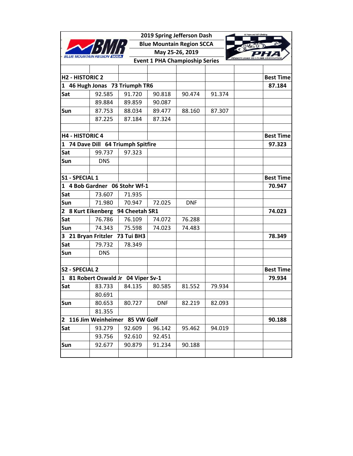|                        |                                     |                |            | 2019 Spring Jefferson Dash            |        | 60 Years and Still Climbing |
|------------------------|-------------------------------------|----------------|------------|---------------------------------------|--------|-----------------------------|
|                        |                                     |                |            | <b>Blue Mountain Region SCCA</b>      |        |                             |
|                        |                                     |                |            | May 25-26, 2019                       |        | $\epsilon$                  |
|                        |                                     |                |            | <b>Event 1 PHA Champioship Series</b> |        |                             |
|                        |                                     |                |            |                                       |        |                             |
| <b>H2 - HISTORIC 2</b> |                                     |                |            |                                       |        | <b>Best Time</b>            |
| $\mathbf{1}$           | 46 Hugh Jonas 73 Triumph TR6        |                |            |                                       |        | 87.184                      |
| Sat                    | 92.585                              | 91.720         | 90.818     | 90.474                                | 91.374 |                             |
|                        | 89.884                              | 89.859         | 90.087     |                                       |        |                             |
| Sun                    | 87.753                              | 88.034         | 89.477     | 88.160                                | 87.307 |                             |
|                        | 87.225                              | 87.184         | 87.324     |                                       |        |                             |
|                        |                                     |                |            |                                       |        |                             |
| <b>H4 - HISTORIC 4</b> |                                     |                |            |                                       |        | <b>Best Time</b>            |
| 1                      | 74 Dave Dill 64 Triumph Spitfire    |                |            |                                       |        | 97.323                      |
| Sat                    | 99.737                              | 97.323         |            |                                       |        |                             |
| Sun                    | <b>DNS</b>                          |                |            |                                       |        |                             |
|                        |                                     |                |            |                                       |        |                             |
| S1 - SPECIAL 1         |                                     |                |            |                                       |        | <b>Best Time</b>            |
| $\mathbf{1}$           | 4 Bob Gardner 06 Stohr Wf-1         |                |            |                                       |        | 70.947                      |
| Sat                    | 73.607                              | 71.935         |            |                                       |        |                             |
| Sun                    | 71.980                              | 70.947         | 72.025     | <b>DNF</b>                            |        |                             |
|                        | 2 8 Kurt Eikenberg                  | 94 Cheetah SR1 |            |                                       |        | 74.023                      |
| Sat                    | 76.786                              | 76.109         | 74.072     | 76.288                                |        |                             |
| Sun                    | 74.343                              | 75.598         | 74.023     | 74.483                                |        |                             |
|                        | 3 21 Bryan Fritzler                 | 73 Tui BH3     |            |                                       |        | 78.349                      |
| Sat                    | 79.732                              | 78.349         |            |                                       |        |                             |
| Sun                    | <b>DNS</b>                          |                |            |                                       |        |                             |
|                        |                                     |                |            |                                       |        |                             |
| S2 - SPECIAL 2         |                                     |                |            |                                       |        | <b>Best Time</b>            |
|                        | 1 81 Robert Oswald Jr 04 Viper Sv-1 |                |            |                                       |        | 79.934                      |
| Sat                    | 83.733                              | 84.135         | 80.585     | 81.552                                | 79.934 |                             |
|                        | 80.691                              |                |            |                                       |        |                             |
| Sun                    | 80.653                              | 80.727         | <b>DNF</b> | 82.219                                | 82.093 |                             |
|                        | 81.355                              |                |            |                                       |        |                             |
| $\mathbf{2}$           | 116 Jim Weinheimer 85 VW Golf       |                |            |                                       |        | 90.188                      |
| Sat                    | 93.279                              | 92.609         | 96.142     | 95.462                                | 94.019 |                             |
|                        | 93.756                              | 92.610         | 92.451     |                                       |        |                             |
| Sun                    | 92.677                              | 90.879         | 91.234     | 90.188                                |        |                             |
|                        |                                     |                |            |                                       |        |                             |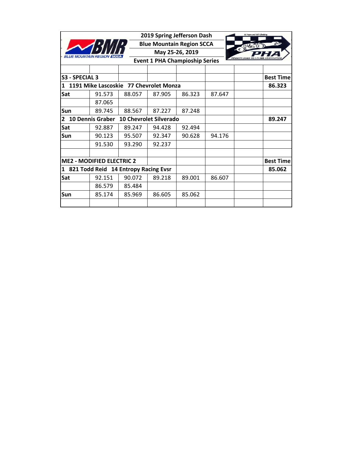|                                  |                                        |        | 2019 Spring Jefferson Dash            |                 |        | 60 Years and Still Climbing |
|----------------------------------|----------------------------------------|--------|---------------------------------------|-----------------|--------|-----------------------------|
|                                  |                                        |        | <b>Blue Mountain Region SCCA</b>      |                 |        |                             |
|                                  |                                        |        |                                       | May 25-26, 2019 |        | $\epsilon$                  |
| <b>BLUE MOUNTAIN REGI</b>        |                                        |        | <b>Event 1 PHA Champioship Series</b> |                 |        | <b>PENNSYLVANIA HILI</b>    |
|                                  |                                        |        |                                       |                 |        |                             |
| S3 - SPECIAL 3                   |                                        |        |                                       |                 |        | <b>Best Time</b>            |
|                                  | 1191 Mike Lascoskie 77 Chevrolet Monza |        |                                       |                 |        | 86.323                      |
| Sat                              | 91.573                                 | 88.057 | 87.905                                | 86.323          | 87.647 |                             |
|                                  | 87.065                                 |        |                                       |                 |        |                             |
| Sun                              | 89.745                                 | 88.567 | 87.227                                | 87.248          |        |                             |
| <b>10 Dennis Graber</b><br>2     |                                        |        | <b>10 Chevrolet Silverado</b>         |                 |        | 89.247                      |
| Sat                              | 92.887                                 | 89.247 | 94.428                                | 92.494          |        |                             |
| Sun                              | 90.123                                 | 95.507 | 92.347                                | 90.628          | 94.176 |                             |
|                                  | 91.530                                 | 93.290 | 92.237                                |                 |        |                             |
|                                  |                                        |        |                                       |                 |        |                             |
| <b>ME2 - MODIFIED ELECTRIC 2</b> |                                        |        |                                       |                 |        | <b>Best Time</b>            |
| 1                                | 821 Todd Reid 14 Entropy Racing Evsr   |        |                                       |                 |        | 85.062                      |
| Sat                              | 92.151                                 | 90.072 | 89.218                                | 89.001          | 86.607 |                             |
|                                  | 86.579                                 | 85.484 |                                       |                 |        |                             |
| Sun                              | 85.174                                 | 85.969 | 86.605                                | 85.062          |        |                             |
|                                  |                                        |        |                                       |                 |        |                             |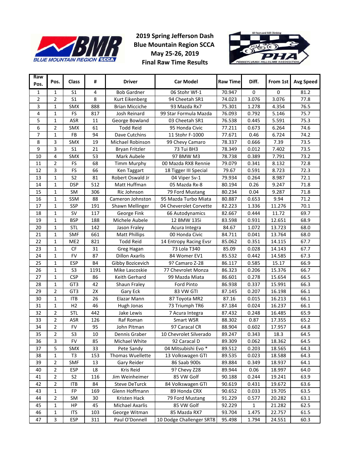

## **2019 Spring Jefferson Dash Blue Mountain Region SCCA May 25‐26, 2019 Final Raw Time Results**



| Raw<br>Pos.    | Pos.           | Class           | #             | <b>Driver</b>         | <b>Car Model</b>         | <b>Raw Time</b> | Diff. | From 1st | <b>Avg Speed</b> |
|----------------|----------------|-----------------|---------------|-----------------------|--------------------------|-----------------|-------|----------|------------------|
| 1              | 1              | S <sub>1</sub>  | 4             | <b>Bob Gardner</b>    | 06 Stohr Wf-1            | 70.947          | 0     | 0        | 81.2             |
| $\overline{2}$ | $\overline{2}$ | S <sub>1</sub>  | 8             | Kurt Eikenberg        | 94 Cheetah SR1           | 74.023          | 3.076 | 3.076    | 77.8             |
| 3              | 1              | SMX             | 888           | <b>Brian Micciche</b> | 93 Mazda Rx7             | 75.301          | 1.278 | 4.354    | 76.5             |
| 4              | 1              | FS              | 817           | Josh Reinard          | 99 Star Formula Mazda    | 76.093          | 0.792 | 5.146    | 75.7             |
| 5              | 1              | ASR             | 11            | George Bowland        | 03 Cheetah SR1           | 76.538          | 0.445 | 5.591    | 75.3             |
| 6              | $\overline{2}$ | SMX             | 61            | <b>Todd Reid</b>      | 95 Honda Civic           | 77.211          | 0.673 | 6.264    | 74.6             |
| 7              | $\mathbf{1}$   | <b>FB</b>       | 94            | Dave Cutchins         | 11 Stohr F-1000          | 77.671          | 0.46  | 6.724    | 74.2             |
| 8              | 3              | SMX             | 19            | Michael Robinson      | 99 Chevy Camaro          | 78.337          | 0.666 | 7.39     | 73.5             |
| 9              | 3              | S <sub>1</sub>  | 21            | <b>Bryan Fritzler</b> | 73 Tui BH3               | 78.349          | 0.012 | 7.402    | 73.5             |
| 10             | 4              | SMX             | 53            | Mark Aubele           | 97 BMW M3                | 78.738          | 0.389 | 7.791    | 73.2             |
| 11             | $\overline{2}$ | FS              | 68            | <b>Timm Murphy</b>    | 00 Mazda RX8 Rennie      | 79.079          | 0.341 | 8.132    | 72.8             |
| 12             | 3              | FS              | 66            | Ken Taggart           | 18 Tigger III Special    | 79.67           | 0.591 | 8.723    | 72.3             |
| 13             | $\mathbf{1}$   | S <sub>2</sub>  | 81            | Robert Oswald Jr      | 04 Viper Sv-1            | 79.934          | 0.264 | 8.987    | 72.1             |
| 14             | $\mathbf{1}$   | <b>DSP</b>      | 512           | Matt Huffman          | 05 Mazda Rx-8            | 80.194          | 0.26  | 9.247    | 71.8             |
| 15             | $\mathbf{1}$   | SM              | 306           | Ric Johnson           | 79 Ford Mustang          | 80.234          | 0.04  | 9.287    | 71.8             |
| 16             | 1              | SSM             | 88            | Cameron Johnston      | 95 Mazda Turbo Miata     | 80.887          | 0.653 | 9.94     | 71.2             |
| 17             | 1              | SSP             | 191           | Shawn Mellinger       | 04 Cheverolet Corvette   | 82.223          | 1.336 | 11.276   | 70.1             |
| 18             | $\mathbf{1}$   | <b>SV</b>       | 117           | George Fink           | 66 Autodynamics          | 82.667          | 0.444 | 11.72    | 69.7             |
| 19             | 1              | <b>BSP</b>      | 188           | Michele Aubele        | 12 BMW 135i              | 83.598          | 0.931 | 12.651   | 68.9             |
| 20             | 1              | <b>STL</b>      | 142           | Jason Fraley          | Acura Integra            | 84.67           | 1.072 | 13.723   | 68.0             |
| 21             | 1              | <b>SMF</b>      | 661           | <b>Matt Phillips</b>  | 00 Honda Civic           | 84.711          | 0.041 | 13.764   | 68.0             |
| 22             | 1              | ME <sub>2</sub> | 821           | <b>Todd Reid</b>      | 14 Entropy Racing Evsr   | 85.062          | 0.351 | 14.115   | 67.7             |
| 23             | $\mathbf{1}$   | CF              | 31            | Greg Hagan            | 73 Lola T340             | 85.09           | 0.028 | 14.143   | 67.7             |
| 24             | 1              | <b>FV</b>       | 87            | <b>Dillon Axarlis</b> | 84 Womer EV1             | 85.532          | 0.442 | 14.585   | 67.3             |
| 25             | $\mathbf{1}$   | <b>ESP</b>      | <b>B4</b>     | Gibby Bozicevich      | 9? Camaro Z-28           | 86.117          | 0.585 | 15.17    | 66.9             |
| 26             | $\mathbf{1}$   | S <sub>3</sub>  | 1191          | Mike Lascoskie        | 77 Chevrolet Monza       | 86.323          | 0.206 | 15.376   | 66.7             |
| 27             | $\mathbf{1}$   | <b>CSP</b>      | 86            | Keith Gerhard         | 99 Mazda Miata           | 86.601          | 0.278 | 15.654   | 66.5             |
| 28             | 1              | GT3             | 42            | Shaun Fraley          | Ford Pinto               | 86.938          | 0.337 | 15.991   | 66.3             |
| 29             | 2              | GT3             | 2X            | Gary Eck              | 83 VW GTI                | 87.145          | 0.207 | 16.198   | 66.1             |
| 30             | $\mathbf{1}$   | <b>ITB</b>      | 26            | Elazar Mann           | 87 Toyota MR2            | 87.16           | 0.015 | 16.213   | 66.1             |
| 31             | $\mathbf{1}$   | H <sub>2</sub>  | 46            | Hugh Jonas            | 73 Triumph TR6           | 87.184          | 0.024 | 16.237   | 66.1             |
| 32             | $\overline{2}$ | <b>STL</b>      | 442           | Jake Lewis            | 7 Acura Integra          | 87.432          | 0.248 | 16.485   | 65.9             |
| 33             | $\overline{2}$ | <b>ASR</b>      | 126           | Raf Roman             | Smart WSR                | 88.302          | 0.87  | 17.355   | 65.2             |
| 34             | $\overline{2}$ | <b>FV</b>       | 95            | John Pitman           | 97 Caracal CR            | 88.904          | 0.602 | 17.957   | 64.8             |
| 35             | 2              | S3              | 10            | Dennis Graber         | 10 Chevrolet Silverado   | 89.247          | 0.343 | 18.3     | 64.5             |
| 36             | 3              | <b>FV</b>       | 85            | Michael White         | 92 Caracal D             | 89.309          | 0.062 | 18.362   | 64.5             |
| 37             | 5              | SMX             | 33            | Pete Sandy            | 04 Mitsubishi Evo *      | 89.512          | 0.203 | 18.565   | 64.3             |
| 38             | 1              | T3              | 153           | Thomas Wuellette      | 13 Volkswagen GTI        | 89.535          | 0.023 | 18.588   | 64.3             |
| 39             | 2              | <b>SMF</b>      | 13            | Gary Reider           | 86 Saab 900s             | 89.884          | 0.349 | 18.937   | 64.1             |
| 40             | 2              | <b>ESP</b>      | $\mathsf{L}8$ | Kris Reid             | 9? Chevy Z28             | 89.944          | 0.06  | 18.997   | 64.0             |
| 41             | $\overline{2}$ | S <sub>2</sub>  | 116           | Jim Weinheimer        | 85 VW Golf               | 90.188          | 0.244 | 19.241   | 63.9             |
| 42             | $\overline{2}$ | <b>ITB</b>      | 84            | <b>Steve DeTurck</b>  | 84 Volkswagen GTI        | 90.619          | 0.431 | 19.672   | 63.6             |
| 43             | 1              | FP              | 169           | Glenn Hoffmann        | 89 Honda CRX             | 90.652          | 0.033 | 19.705   | 63.5             |
| 44             | $\overline{2}$ | SM              | 30            | Kristen Hack          | 79 Ford Mustang          | 91.229          | 0.577 | 20.282   | 63.1             |
| 45             | $\mathbf{1}$   | HP              | 45            | Michael Axarlis       | 85 VW Golf               | 92.229          | 1     | 21.282   | 62.5             |
| 46             | 1              | <b>ITS</b>      | 103           | George Witman         | 85 Mazda RX7             | 93.704          | 1.475 | 22.757   | 61.5             |
| 47             | 3              | <b>ESP</b>      | 311           | Paul O'Donnell        | 10 Dodge Challenger SRT8 | 95.498          | 1.794 | 24.551   | 60.3             |